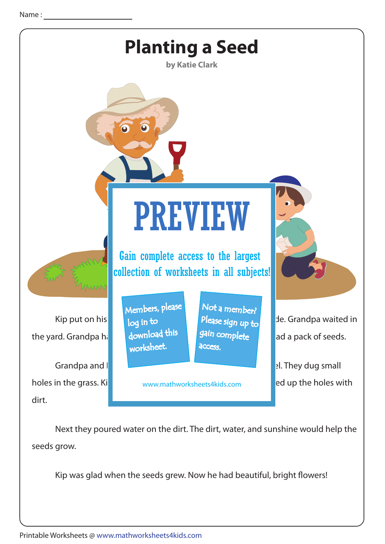

 Next they poured water on the dirt. The dirt, water, and sunshine would help the seeds grow.

Kip was glad when the seeds grew. Now he had beautiful, bright flowers!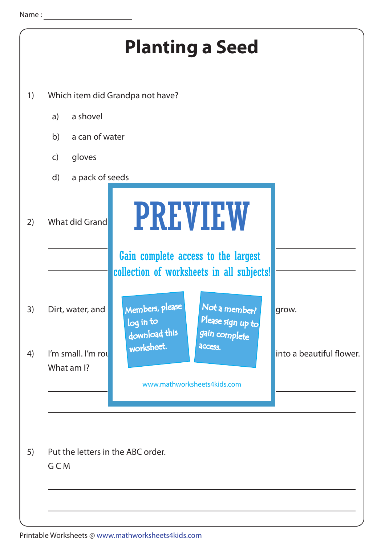